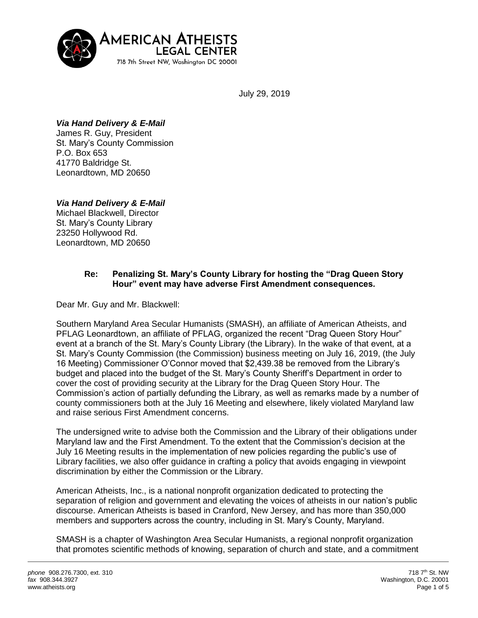

July 29, 2019

## *Via Hand Delivery & E-Mail*

James R. Guy, President St. Mary's County Commission P.O. Box 653 41770 Baldridge St. Leonardtown, MD 20650

# *Via Hand Delivery & E-Mail*

Michael Blackwell, Director St. Mary's County Library 23250 Hollywood Rd. Leonardtown, MD 20650

## **Re: Penalizing St. Mary's County Library for hosting the "Drag Queen Story Hour" event may have adverse First Amendment consequences.**

Dear Mr. Guy and Mr. Blackwell:

Southern Maryland Area Secular Humanists (SMASH), an affiliate of American Atheists, and PFLAG Leonardtown, an affiliate of PFLAG, organized the recent "Drag Queen Story Hour" event at a branch of the St. Mary's County Library (the Library). In the wake of that event, at a St. Mary's County Commission (the Commission) business meeting on July 16, 2019, (the July 16 Meeting) Commissioner O'Connor moved that \$2,439.38 be removed from the Library's budget and placed into the budget of the St. Mary's County Sheriff's Department in order to cover the cost of providing security at the Library for the Drag Queen Story Hour. The Commission's action of partially defunding the Library, as well as remarks made by a number of county commissioners both at the July 16 Meeting and elsewhere, likely violated Maryland law and raise serious First Amendment concerns.

The undersigned write to advise both the Commission and the Library of their obligations under Maryland law and the First Amendment. To the extent that the Commission's decision at the July 16 Meeting results in the implementation of new policies regarding the public's use of Library facilities, we also offer guidance in crafting a policy that avoids engaging in viewpoint discrimination by either the Commission or the Library.

American Atheists, Inc., is a national nonprofit organization dedicated to protecting the separation of religion and government and elevating the voices of atheists in our nation's public discourse. American Atheists is based in Cranford, New Jersey, and has more than 350,000 members and supporters across the country, including in St. Mary's County, Maryland.

SMASH is a chapter of Washington Area Secular Humanists, a regional nonprofit organization that promotes scientific methods of knowing, separation of church and state, and a commitment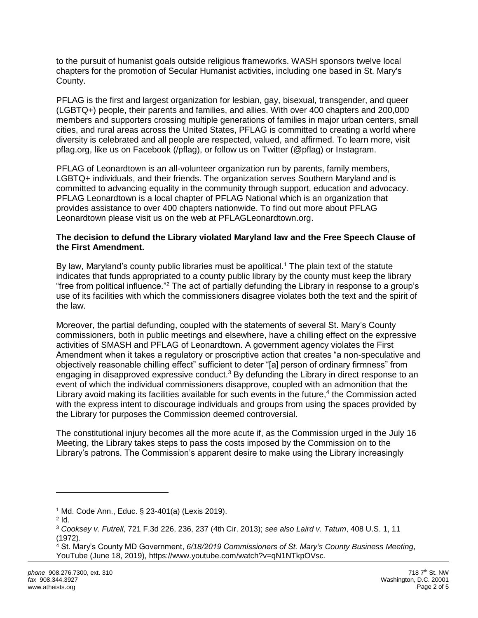to the pursuit of humanist goals outside religious frameworks. WASH sponsors twelve local chapters for the promotion of Secular Humanist activities, including one based in St. Mary's County.

PFLAG is the first and largest organization for lesbian, gay, bisexual, transgender, and queer (LGBTQ+) people, their parents and families, and allies. With over 400 chapters and 200,000 members and supporters crossing multiple generations of families in major urban centers, small cities, and rural areas across the United States, PFLAG is committed to creating a world where diversity is celebrated and all people are respected, valued, and affirmed. To learn more, visit pflag.org, like us on Facebook (/pflag), or follow us on Twitter (@pflag) or Instagram.

PFLAG of Leonardtown is an all-volunteer organization run by parents, family members, LGBTQ+ individuals, and their friends. The organization serves Southern Maryland and is committed to advancing equality in the community through support, education and advocacy. PFLAG Leonardtown is a local chapter of PFLAG National which is an organization that provides assistance to over 400 chapters nationwide. To find out more about PFLAG Leonardtown please visit us on the web at PFLAGLeonardtown.org.

### **The decision to defund the Library violated Maryland law and the Free Speech Clause of the First Amendment.**

By law, Maryland's county public libraries must be apolitical.<sup>1</sup> The plain text of the statute indicates that funds appropriated to a county public library by the county must keep the library "free from political influence."<sup>2</sup> The act of partially defunding the Library in response to a group's use of its facilities with which the commissioners disagree violates both the text and the spirit of the law.

Moreover, the partial defunding, coupled with the statements of several St. Mary's County commissioners, both in public meetings and elsewhere, have a chilling effect on the expressive activities of SMASH and PFLAG of Leonardtown. A government agency violates the First Amendment when it takes a regulatory or proscriptive action that creates "a non-speculative and objectively reasonable chilling effect" sufficient to deter "[a] person of ordinary firmness" from engaging in disapproved expressive conduct.<sup>3</sup> By defunding the Library in direct response to an event of which the individual commissioners disapprove, coupled with an admonition that the Library avoid making its facilities available for such events in the future, $4$  the Commission acted with the express intent to discourage individuals and groups from using the spaces provided by the Library for purposes the Commission deemed controversial.

The constitutional injury becomes all the more acute if, as the Commission urged in the July 16 Meeting, the Library takes steps to pass the costs imposed by the Commission on to the Library's patrons. The Commission's apparent desire to make using the Library increasingly

 $\overline{a}$ 

<sup>1</sup> Md. Code Ann., Educ. § 23-401(a) (Lexis 2019).

 $2$  Id.

<sup>3</sup> *Cooksey v. Futrell*, 721 F.3d 226, 236, 237 (4th Cir. 2013); *see also Laird v. Tatum*, 408 U.S. 1, 11 (1972).

<sup>4</sup> St. Mary's County MD Government, *6/18/2019 Commissioners of St. Mary's County Business Meeting*, YouTube (June 18, 2019), https://www.youtube.com/watch?v=qN1NTkpOVsc.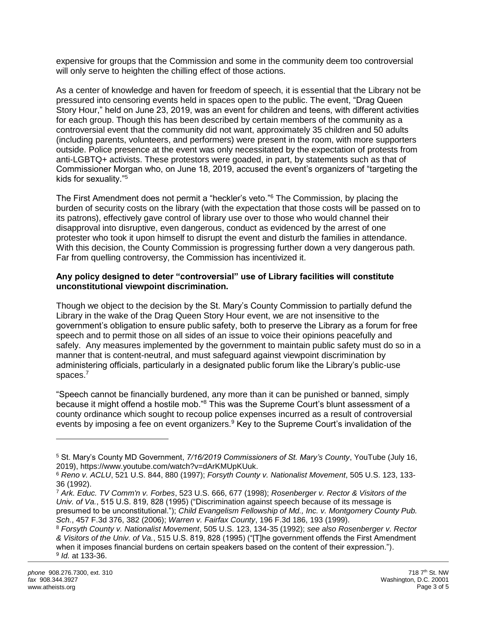expensive for groups that the Commission and some in the community deem too controversial will only serve to heighten the chilling effect of those actions.

As a center of knowledge and haven for freedom of speech, it is essential that the Library not be pressured into censoring events held in spaces open to the public. The event, "Drag Queen Story Hour," held on June 23, 2019, was an event for children and teens, with different activities for each group. Though this has been described by certain members of the community as a controversial event that the community did not want, approximately 35 children and 50 adults (including parents, volunteers, and performers) were present in the room, with more supporters outside. Police presence at the event was only necessitated by the expectation of protests from anti-LGBTQ+ activists. These protestors were goaded, in part, by statements such as that of Commissioner Morgan who, on June 18, 2019, accused the event's organizers of "targeting the kids for sexuality."<sup>5</sup>

The First Amendment does not permit a "heckler's veto."<sup>6</sup> The Commission, by placing the burden of security costs on the library (with the expectation that those costs will be passed on to its patrons), effectively gave control of library use over to those who would channel their disapproval into disruptive, even dangerous, conduct as evidenced by the arrest of one protester who took it upon himself to disrupt the event and disturb the families in attendance. With this decision, the County Commission is progressing further down a very dangerous path. Far from quelling controversy, the Commission has incentivized it.

### **Any policy designed to deter "controversial" use of Library facilities will constitute unconstitutional viewpoint discrimination.**

Though we object to the decision by the St. Mary's County Commission to partially defund the Library in the wake of the Drag Queen Story Hour event, we are not insensitive to the government's obligation to ensure public safety, both to preserve the Library as a forum for free speech and to permit those on all sides of an issue to voice their opinions peacefully and safely. Any measures implemented by the government to maintain public safety must do so in a manner that is content-neutral, and must safeguard against viewpoint discrimination by administering officials, particularly in a designated public forum like the Library's public-use spaces.<sup>7</sup>

"Speech cannot be financially burdened, any more than it can be punished or banned, simply because it might offend a hostile mob."<sup>8</sup> This was the Supreme Court's blunt assessment of a county ordinance which sought to recoup police expenses incurred as a result of controversial events by imposing a fee on event organizers.<sup>9</sup> Key to the Supreme Court's invalidation of the

 $\overline{a}$ 

<sup>5</sup> St. Mary's County MD Government, *7/16/2019 Commissioners of St. Mary's County*, YouTube (July 16, 2019), https://www.youtube.com/watch?v=dArKMUpKUuk.

<sup>6</sup> *Reno v. ACLU*, 521 U.S. 844, 880 (1997); *Forsyth County v. Nationalist Movement*, 505 U.S. 123, 133- 36 (1992).

<sup>7</sup> *Ark. Educ. TV Comm'n v. Forbes*, 523 U.S. 666, 677 (1998); *Rosenberger v. Rector & Visitors of the Univ. of Va.*, 515 U.S. 819, 828 (1995) ("Discrimination against speech because of its message is presumed to be unconstitutional."); *Child Evangelism Fellowship of Md., Inc. v. Montgomery County Pub. Sch.*, 457 F.3d 376, 382 (2006); *Warren v. Fairfax County*, 196 F.3d 186, 193 (1999).

<sup>8</sup> *Forsyth County v. Nationalist Movement*, 505 U.S. 123, 134-35 (1992); *see also Rosenberger v. Rector & Visitors of the Univ. of Va.*, 515 U.S. 819, 828 (1995) ("[T]he government offends the First Amendment when it imposes financial burdens on certain speakers based on the content of their expression."). 9 *Id.* at 133-36.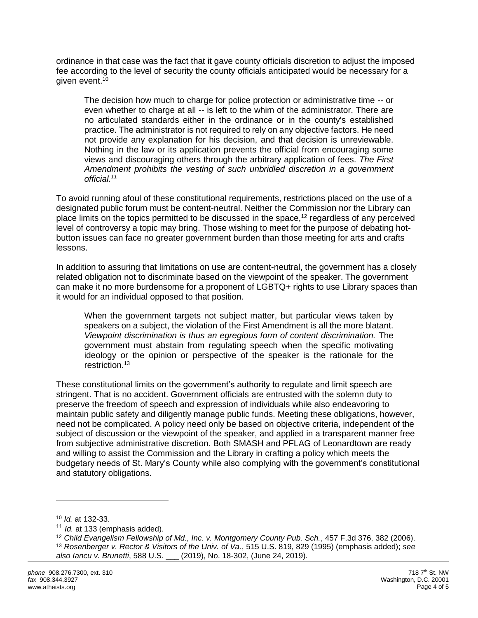ordinance in that case was the fact that it gave county officials discretion to adjust the imposed fee according to the level of security the county officials anticipated would be necessary for a given event.<sup>10</sup>

The decision how much to charge for police protection or administrative time -- or even whether to charge at all -- is left to the whim of the administrator. There are no articulated standards either in the ordinance or in the county's established practice. The administrator is not required to rely on any objective factors. He need not provide any explanation for his decision, and that decision is unreviewable. Nothing in the law or its application prevents the official from encouraging some views and discouraging others through the arbitrary application of fees. *The First Amendment prohibits the vesting of such unbridled discretion in a government official.<sup>11</sup>*

To avoid running afoul of these constitutional requirements, restrictions placed on the use of a designated public forum must be content-neutral. Neither the Commission nor the Library can place limits on the topics permitted to be discussed in the space,<sup>12</sup> regardless of any perceived level of controversy a topic may bring. Those wishing to meet for the purpose of debating hotbutton issues can face no greater government burden than those meeting for arts and crafts lessons.

In addition to assuring that limitations on use are content-neutral, the government has a closely related obligation not to discriminate based on the viewpoint of the speaker. The government can make it no more burdensome for a proponent of LGBTQ+ rights to use Library spaces than it would for an individual opposed to that position.

When the government targets not subject matter, but particular views taken by speakers on a subject, the violation of the First Amendment is all the more blatant. *Viewpoint discrimination is thus an egregious form of content discrimination.* The government must abstain from regulating speech when the specific motivating ideology or the opinion or perspective of the speaker is the rationale for the restriction.<sup>13</sup>

These constitutional limits on the government's authority to regulate and limit speech are stringent. That is no accident. Government officials are entrusted with the solemn duty to preserve the freedom of speech and expression of individuals while also endeavoring to maintain public safety and diligently manage public funds. Meeting these obligations, however, need not be complicated. A policy need only be based on objective criteria, independent of the subject of discussion or the viewpoint of the speaker, and applied in a transparent manner free from subjective administrative discretion. Both SMASH and PFLAG of Leonardtown are ready and willing to assist the Commission and the Library in crafting a policy which meets the budgetary needs of St. Mary's County while also complying with the government's constitutional and statutory obligations.

<sup>10</sup> *Id.* at 132-33.

<sup>11</sup> *Id.* at 133 (emphasis added).

<sup>12</sup> *Child Evangelism Fellowship of Md., Inc. v. Montgomery County Pub. Sch.*, 457 F.3d 376, 382 (2006). <sup>13</sup> *Rosenberger v. Rector & Visitors of the Univ. of Va.*, 515 U.S. 819, 829 (1995) (emphasis added); *see also Iancu v. Brunetti*, 588 U.S. \_\_\_ (2019), No. 18-302, (June 24, 2019).